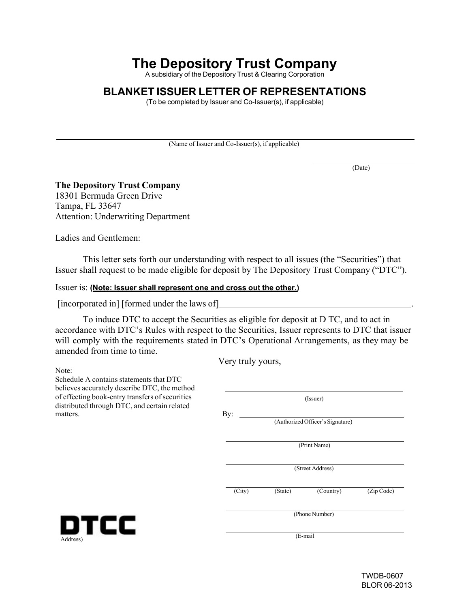# **The Depository Trust Company**

A subsidiary of the Depository Trust & Clearing Corporation

### **BLANKET ISSUER LETTER OF REPRESENTATIONS**

(To be completed by Issuer and Co-Issuer(s), if applicable)

(Name of Issuer and Co-Issuer(s), if applicable)

(Date)

### **The Depository Trust Company**

18301 Bermuda Green Drive Tampa, FL 33647 Attention: Underwriting Department

Ladies and Gentlemen:

This letter sets forth our understanding with respect to all issues (the "Securities") that Issuer shall request to be made eligible for deposit by The Depository Trust Company ("DTC").

#### Issuer is: **(Note: Issuer shall represent one and cross out the other.)**

[incorporated in] [formed under the laws of]

To induce DTC to accept the Securities as eligible for deposit at D TC, and to act in accordance with DTC's Rules with respect to the Securities, Issuer represents to DTC that issuer will comply with the requirements stated in DTC's Operational Arrangements, as they may be amended from time to time.

Very truly yours,

Note:

Schedule A contains statements that DTC believes accurately describe DTC, the method of effecting book-entry transfers of securities distributed through DTC, and certain related matters.

| elieves accurately describe DTC, the method<br>f effecting book-entry transfers of securities | (Issuer)                                |         |  |  |
|-----------------------------------------------------------------------------------------------|-----------------------------------------|---------|--|--|
| stributed through DTC, and certain related<br>atters.                                         | By:<br>(Authorized Officer's Signature) |         |  |  |
|                                                                                               | (Print Name)<br>(Street Address)        |         |  |  |
|                                                                                               |                                         |         |  |  |
|                                                                                               | (Phone Number)                          |         |  |  |
|                                                                                               | DTCC<br>Address)                        | (E-mail |  |  |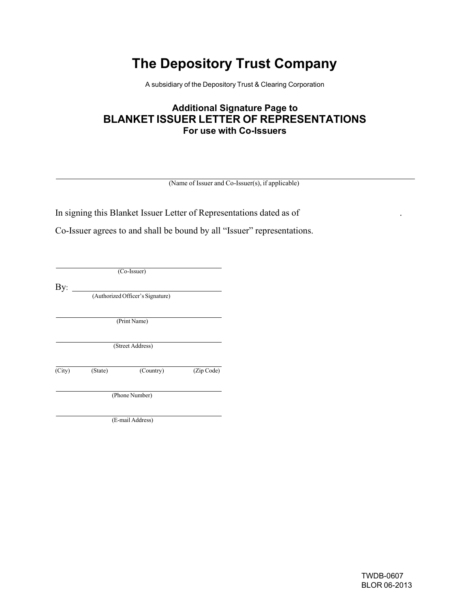# **The Depository Trust Company**

A subsidiary of the Depository Trust & Clearing Corporation

## **Additional Signature Page to BLANKET ISSUER LETTER OF REPRESENTATIONS For use with Co-Issuers**

(Name of Issuer and Co-Issuer(s), if applicable)

In signing this Blanket Issuer Letter of Representations dated as of

Co-Issuer agrees to and shall be bound by all "Issuer" representations.

(Co-Issuer)

 $By:$ 

(Authorized Officer's Signature)

(Print Name)

(Street Address)

(City) (State) (Country) (Zip Code)

(Phone Number)

(E-mail Address)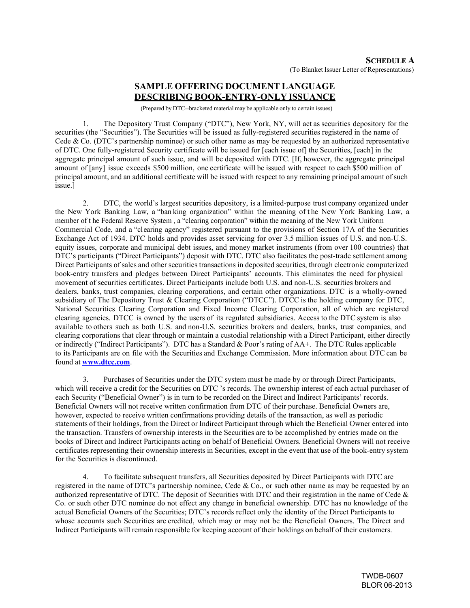### **SAMPLE OFFERING DOCUMENT LANGUAGE DESCRIBING BOOK-ENTRY-ONLY ISSUANCE**

(Prepared by DTC--bracketed material may be applicable only to certain issues)

1. The Depository Trust Company ("DTC"), New York, NY, will act as securities depository for the securities (the "Securities"). The Securities will be issued as fully-registered securities registered in the name of Cede & Co. (DTC's partnership nominee) or such other name as may be requested by an authorized representative of DTC. One fully-registered Security certificate will be issued for [each issue of] the Securities, [each] in the aggregate principal amount of such issue, and will be deposited with DTC. [If, however, the aggregate principal amount of [any] issue exceeds \$500 million, one certificate will be issued with respect to each \$500 million of principal amount, and an additional certificate will be issued with respect to any remaining principal amount of such issue.]

2. DTC, the world's largest securities depository, is a limited-purpose trust company organized under the New York Banking Law, a "ban king organization" within the meaning of t he New York Banking Law, a member of t he Federal Reserve System , a "clearing corporation" within the meaning of the New York Uniform Commercial Code, and a "clearing agency" registered pursuant to the provisions of Section 17A of the Securities Exchange Act of 1934. DTC holds and provides asset servicing for over 3.5 million issues of U.S. and non-U.S. equity issues, corporate and municipal debt issues, and money market instruments (from over 100 countries) that DTC's participants ("Direct Participants") deposit with DTC. DTC also facilitates the post-trade settlement among Direct Participants of sales and other securities transactions in deposited securities, through electronic computerized book-entry transfers and pledges between Direct Participants' accounts. This eliminates the need for physical movement of securities certificates. Direct Participants include both U.S. and non-U.S. securities brokers and dealers, banks, trust companies, clearing corporations, and certain other organizations. DTC is a wholly-owned subsidiary of The Depository Trust & Clearing Corporation ("DTCC"). DTCC is the holding company for DTC, National Securities Clearing Corporation and Fixed Income Clearing Corporation, all of which are registered clearing agencies. DTCC is owned by the users of its regulated subsidiaries. Access to the DTC system is also available to others such as both U.S. and non-U.S. securities brokers and dealers, banks, trust companies, and clearing corporations that clear through or maintain a custodial relationship with a Direct Participant, either directly or indirectly ("Indirect Participants"). DTC has a Standard & Poor's rating of AA+. The DTC Rules applicable to its Participants are on file with the Securities and Exchange Commission. More information about DTC can be found at **[www.dtcc.com](http://www.dtcc.com/)**.

3. Purchases of Securities under the DTC system must be made by or through Direct Participants, which will receive a credit for the Securities on DTC 's records. The ownership interest of each actual purchaser of each Security ("Beneficial Owner") is in turn to be recorded on the Direct and Indirect Participants' records. Beneficial Owners will not receive written confirmation from DTC of their purchase. Beneficial Owners are, however, expected to receive written confirmations providing details of the transaction, as well as periodic statements of their holdings, from the Direct or Indirect Participant through which the Beneficial Owner entered into the transaction. Transfers of ownership interests in the Securities are to be accomplished by entries made on the books of Direct and Indirect Participants acting on behalf of Beneficial Owners. Beneficial Owners will not receive certificates representing their ownership interests in Securities, except in the event that use of the book-entry system for the Securities is discontinued.

4. To facilitate subsequent transfers, all Securities deposited by Direct Participants with DTC are registered in the name of DTC's partnership nominee, Cede & Co., or such other name as may be requested by an authorized representative of DTC. The deposit of Securities with DTC and their registration in the name of Cede & Co. or such other DTC nominee do not effect any change in beneficial ownership. DTC has no knowledge of the actual Beneficial Owners of the Securities; DTC's records reflect only the identity of the Direct Participants to whose accounts such Securities are credited, which may or may not be the Beneficial Owners. The Direct and Indirect Participants will remain responsible for keeping account of their holdings on behalf of their customers.